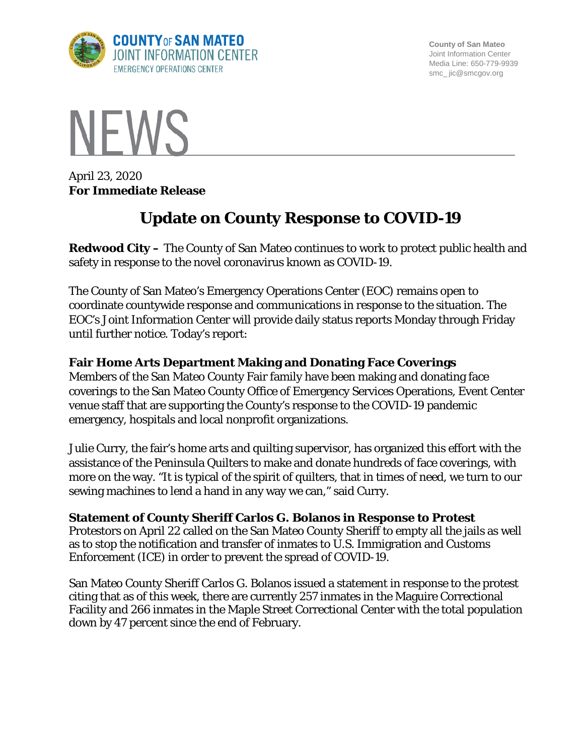

**County of San Mateo** Joint Information Center Media Line: 650-779-9939 smc\_ jic@smcgov.org



April 23, 2020 **For Immediate Release**

# **Update on County Response to COVID-19**

**Redwood City –** The County of San Mateo continues to work to protect public health and safety in response to the novel coronavirus known as COVID-19.

The County of San Mateo's Emergency Operations Center (EOC) remains open to coordinate countywide response and communications in response to the situation. The EOC's Joint Information Center will provide daily status reports Monday through Friday until further notice. Today's report:

## **Fair Home Arts Department Making and Donating Face Coverings**

Members of the San Mateo County Fair family have been making and donating face coverings to the San Mateo County Office of Emergency Services Operations, Event Center venue staff that are supporting the County's response to the COVID-19 pandemic emergency, hospitals and local nonprofit organizations.

Julie Curry, the fair's home arts and quilting supervisor, has organized this effort with the assistance of the Peninsula Quilters to make and donate hundreds of face coverings, with more on the way. "It is typical of the spirit of quilters, that in times of need, we turn to our sewing machines to lend a hand in any way we can," said Curry.

## **Statement of County Sheriff Carlos G. Bolanos in Response to Protest**

Protestors on April 22 called on the San Mateo County Sheriff to empty all the jails as well as to stop the notification and transfer of inmates to U.S. Immigration and Customs Enforcement (ICE) in order to prevent the spread of COVID-19.

San Mateo County Sheriff Carlos G. Bolanos issued a statement in response to the protest citing that as of this week, there are currently 257 inmates in the Maguire Correctional Facility and 266 inmates in the Maple Street Correctional Center with the total population down by 47 percent since the end of February.